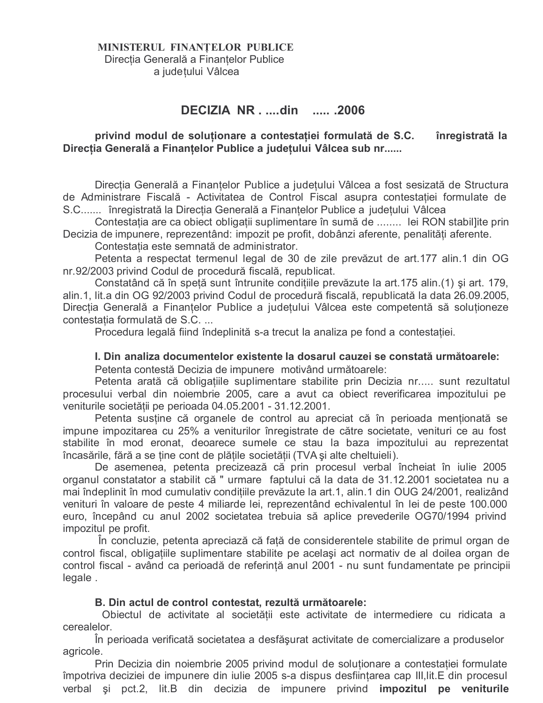## MINISTERUL FINANȚELOR PUBLICE Direcția Generală a Finanțelor Publice a județului Vâlcea

# DECIZIA NR. ....din ..... .2006

#### privind modul de soluționare a contestației formulată de S.C. înregistrată la Direcția Generală a Finanțelor Publice a județului Vâlcea sub nr......

Direcția Generală a Finanțelor Publice a județului Vâlcea a fost sesizată de Structura de Administrare Fiscală - Activitatea de Control Fiscal asupra contestatiei formulate de S.C....... înregistrată la Direcția Generală a Finanțelor Publice a județului Vâlcea

Contestația are ca obiect obligații suplimentare în sumă de ........ lei RON stabil]ite prin Decizia de impunere, reprezentând: impozit pe profit, dobânzi aferente, penalități aferente.

Contestatia este semnată de administrator.

Petenta a respectat termenul legal de 30 de zile prevăzut de art.177 alin.1 din OG nr.92/2003 privind Codul de procedură fiscală, republicat.

Constatând că în speță sunt întrunite condițiile prevăzute la art. 175 alin. (1) și art. 179, alin.1, lit.a din OG 92/2003 privind Codul de procedură fiscală, republicată la data 26.09.2005, Direcția Generală a Finanțelor Publice a județului Vâlcea este competentă să soluționeze contestatia formulată de S.C...

Procedura legală fiind îndeplinită s-a trecut la analiza pe fond a contestației.

### I. Din analiza documentelor existente la dosarul cauzei se constată următoarele:

Petenta contestă Decizia de impunere motivând următoarele:

Petenta arată că obligațiile suplimentare stabilite prin Decizia nr..... sunt rezultatul procesului verbal din noiembrie 2005, care a avut ca obiect reverificarea impozitului pe veniturile societătii pe perioada 04.05.2001 - 31.12.2001.

Petenta sustine că organele de control au apreciat că în perioada menționată se impune impozitarea cu 25% a veniturilor înregistrate de către societate, venituri ce au fost stabilite în mod eronat, deoarece sumele ce stau la baza impozitului au reprezentat încasările, fără a se tine cont de plătile societății (TVA și alte cheltuieli).

De asemenea, petenta precizează că prin procesul verbal încheiat în iulie 2005 organul constatator a stabilit că " urmare faptului că la data de 31.12.2001 societatea nu a mai îndeplinit în mod cumulativ condițiile prevăzute la art.1, alin.1 din OUG 24/2001, realizând venituri în valoare de peste 4 miliarde lei, reprezentând echivalentul în lei de peste 100.000 euro, începând cu anul 2002 societatea trebuia să aplice prevederile OG70/1994 privind impozitul pe profit.

În concluzie, petenta apreciază că față de considerentele stabilite de primul organ de control fiscal, obligațiile suplimentare stabilite pe același act normativ de al doilea organ de control fiscal - având ca perioadă de referință anul 2001 - nu sunt fundamentate pe principii legale.

#### B. Din actul de control contestat, rezultă următoarele:

Obiectul de activitate al societății este activitate de intermediere cu ridicata a cerealelor.

În perioada verificată societatea a desfășurat activitate de comercializare a produselor agricole.

Prin Decizia din noiembrie 2005 privind modul de solutionare a contestatiei formulate împotriva deciziei de impunere din iulie 2005 s-a dispus desființarea cap III, lit. E din procesul verbal și pct.2, lit.B din decizia de impunere privind impozitul pe veniturile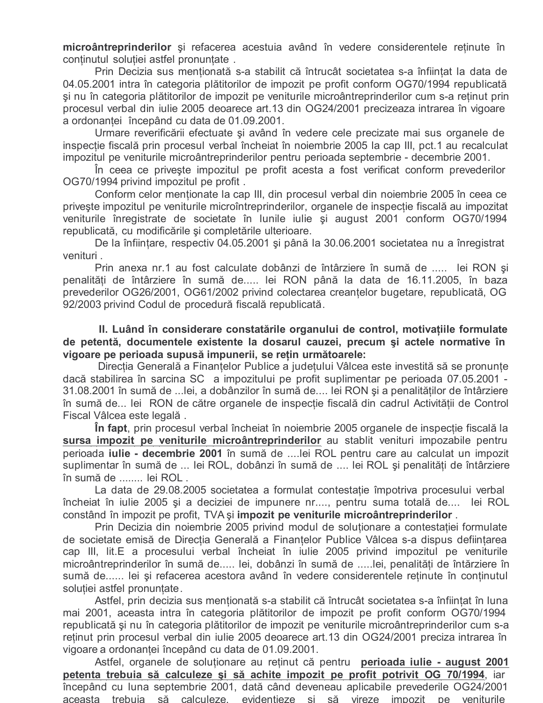microântreprinderilor și refacerea acestuia având în vedere considerentele reținute în continutul soluției astfel pronunțate.

Prin Decizia sus menționată s-a stabilit că întrucât societatea s-a înființat la data de 04.05.2001 intra în categoria plătitorilor de impozit pe profit conform OG70/1994 republicată și nu în categoria plătitorilor de impozit pe veniturile microântreprinderilor cum s-a reținut prin procesul verbal din iulie 2005 deoarece art.13 din OG24/2001 precizeaza intrarea în vigoare a ordonantei începând cu data de 01.09.2001.

Urmare reverificării efectuate și având în vedere cele precizate mai sus organele de inspectie fiscală prin procesul verbal încheiat în noiembrie 2005 la cap III, pct.1 au recalculat impozitul pe veniturile microântreprinderilor pentru perioada septembrie - decembrie 2001.

In ceea ce priveste impozitul pe profit acesta a fost verificat conform prevederilor OG70/1994 privind impozitul pe profit.

Conform celor mentionate la cap III, din procesul verbal din noiembrie 2005 în ceea ce priveste impozitul pe veniturile microîntreprinderilor, organele de inspectie fiscală au impozitat veniturile înregistrate de societate în lunile iulie și august 2001 conform OG70/1994 republicată, cu modificările și completările ulterioare.

De la înființare, respectiv 04.05.2001 și până la 30.06.2001 societatea nu a înregistrat venituri.

Prin anexa nr.1 au fost calculate dobânzi de întârziere în sumă de ..... lei RON și penalități de întârziere în sumă de..... lei RON până la data de 16.11.2005, în baza prevederilor OG26/2001, OG61/2002 privind colectarea creanțelor bugetare, republicată, OG 92/2003 privind Codul de procedură fiscală republicată.

II. Luând în considerare constatările organului de control, motivatiile formulate de petentă, documentele existente la dosarul cauzei, precum și actele normative în vigoare pe perioada supusă impunerii, se retin următoarele:

Directia Generală a Finantelor Publice a judetului Vâlcea este investită să se pronunte dacă stabilirea în sarcina SC a impozitului pe profit suplimentar pe perioada 07.05.2001 -31.08.2001 în sumă de ...lei, a dobânzilor în sumă de.... lei RON și a penalităților de întârziere în sumă de... lei RON de către organele de inspecție fiscală din cadrul Activității de Control Fiscal Vâlcea este legală.

In fapt, prin procesul verbal încheiat în noiembrie 2005 organele de inspecție fiscală la sursa impozit pe veniturile microântreprinderilor au stablit venituri impozabile pentru perioada **iulie - decembrie 2001** în sumă de ....lei ROL pentru care au calculat un impozit suplimentar în sumă de ... lei ROL, dobânzi în sumă de .... lei ROL și penalități de întârziere în sumă de ........ lei ROL.

La data de 29.08.2005 societatea a formulat contestatie împotriva procesului verbal încheiat în iulie 2005 și a deciziei de impunere nr...., pentru suma totală de.... lei ROL constând în impozit pe profit, TVA și impozit pe veniturile microântreprinderilor.

Prin Decizia din noiembrie 2005 privind modul de soluționare a contestației formulate de societate emisă de Directia Generală a Finantelor Publice Vâlcea s-a dispus defiintarea cap III, lit.E a procesului verbal încheiat în iulie 2005 privind impozitul pe veniturile microântreprinderilor în sumă de..... lei, dobânzi în sumă de .....lei, penalități de întărziere în sumă de...... lei și refacerea acestora având în vedere considerentele reținute în conținutul soluției astfel pronunțate.

Astfel, prin decizia sus mentionată s-a stabilit că întrucât societatea s-a înfiintat în luna mai 2001, aceasta intra în categoria plătitorilor de impozit pe profit conform OG70/1994 republicată și nu în categoria plătitorilor de impozit pe veniturile microântreprinderilor cum s-a reținut prin procesul verbal din iulie 2005 deoarece art.13 din OG24/2001 preciza intrarea în vigoare a ordonantei începând cu data de 01.09.2001.

Astfel, organele de soluționare au reținut că pentru perioada iulie - august 2001 petenta trebuia să calculeze și să achite impozit pe profit potrivit OG 70/1994, iar începând cu luna septembrie 2001, dată când deveneau aplicabile prevederile OG24/2001 aceasta trebuja să calculeze, evidentieze și să vireze impozit pe veniturile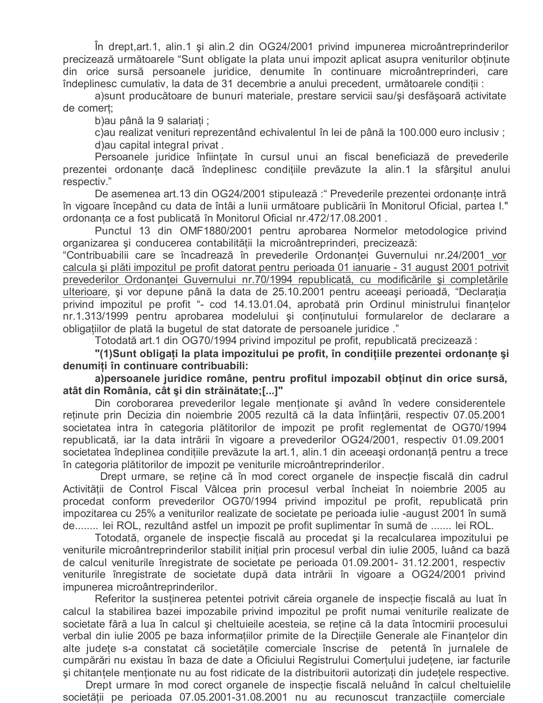În drept, art. 1, alin. 1 și alin. 2 din OG24/2001 privind impunerea microântreprinderilor precizează următoarele "Sunt obligate la plata unui impozit aplicat asupra veniturilor obținute din orice sursă persoanele juridice, denumite în continuare microântreprinderi, care îndeplinesc cumulativ, la data de 31 decembrie a anului precedent, următoarele conditii :

a) sunt producătoare de bunuri materiale, prestare servicii sau/și desfășoară activitate de comert;

b) au până la 9 salariați ;

c) au realizat venituri reprezentând echivalentul în lei de până la 100.000 euro inclusiv; d) au capital integral privat.

Persoanele juridice înființate în cursul unui an fiscal beneficiază de prevederile prezentei ordonanțe dacă îndeplinesc condițiile prevăzute la alin.1 la sfârșitul anului respectiv."

De asemenea art.13 din OG24/2001 stipulează: "Prevederile prezentei ordonanțe intră în vigoare începând cu data de întâi a lunii următoare publicării în Monitorul Oficial, partea I." ordonanța ce a fost publicată în Monitorul Oficial nr.472/17.08.2001.

Punctul 13 din OMF1880/2001 pentru aprobarea Normelor metodologice privind organizarea și conducerea contabilității la microântreprinderi, precizează:

"Contribuabilii care se încadrează în prevederile Ordonanței Guvernului nr.24/2001 vor calcula și plăti impozitul pe profit datorat pentru perioada 01 ianuarie - 31 august 2001 potrivit prevederilor Ordonanței Guvernului nr. 70/1994 republicată, cu modificările și completările ulterioare, și vor depune până la data de 25.10.2001 pentru aceeași perioadă, "Declaratia privind impozitul pe profit "- cod 14.13.01.04, aprobată prin Ordinul ministrului finanțelor nr.1.313/1999 pentru aprobarea modelului și conținutului formularelor de declarare a obligatiilor de plată la bugetul de stat datorate de persoanele juridice."

Totodată art.1 din OG70/1994 privind impozitul pe profit, republicată precizează:

"(1)Sunt obligați la plata impozitului pe profit, în condițiile prezentei ordonanțe și denumiti în continuare contribuabili:

a) persoanele juridice române, pentru profitul impozabil obținut din orice sursă, atât din România, cât și din străinătate;[...]"

Din coroborarea prevederilor legale mentionate și având în vedere considerentele retinute prin Decizia din noiembrie 2005 rezultă că la data înfiintării, respectiv 07.05.2001 societatea intra în categoria plătitorilor de impozit pe profit reglementat de OG70/1994 republicată, iar la data intrării în vigoare a prevederilor OG24/2001, respectiv 01.09.2001 societatea îndeplinea condițiile prevăzute la art.1, alin.1 din aceeași ordonanță pentru a trece în categoria plătitorilor de impozit pe veniturile microântreprinderilor.

Drept urmare, se retine că în mod corect organele de inspecție fiscală din cadrul Activitătii de Control Fiscal Vâlcea prin procesul verbal încheiat în noiembrie 2005 au procedat conform prevederilor OG70/1994 privind impozitul pe profit, republicată prin impozitarea cu 25% a veniturilor realizate de societate pe perioada iulie -august 2001 în sumă de........ lei ROL, rezultând astfel un impozit pe profit suplimentar în sumă de ....... lei ROL.

Totodată, organele de inspectie fiscală au procedat și la recalcularea impozitului pe veniturile microântreprinderilor stabilit inițial prin procesul verbal din iulie 2005, luând ca bază de calcul veniturile înregistrate de societate pe perioada 01.09.2001- 31.12.2001, respectiv veniturile înregistrate de societate după data intrării în vigoare a OG24/2001 privind impunerea microântreprinderilor.

Referitor la sustinerea petentei potrivit căreia organele de inspectie fiscală au luat în calcul la stabilirea bazei impozabile privind impozitul pe profit numai veniturile realizate de societate fără a lua în calcul și cheltuieile acesteia, se reține că la data întocmirii procesului verbal din iulie 2005 pe baza informațiilor primite de la Direcțiile Generale ale Finanțelor din alte judete s-a constatat că societătile comerciale înscrise de petentă în jurnalele de cumpărări nu existau în baza de date a Oficiului Registrului Comertului judetene, iar facturile și chitanțele menționate nu au fost ridicate de la distribuitorii autorizați din județele respective.

Drept urmare în mod corect organele de inspecție fiscală neluând în calcul cheltuielile societății pe perioada 07.05.2001-31.08.2001 nu au recunoscut tranzacțiile comerciale